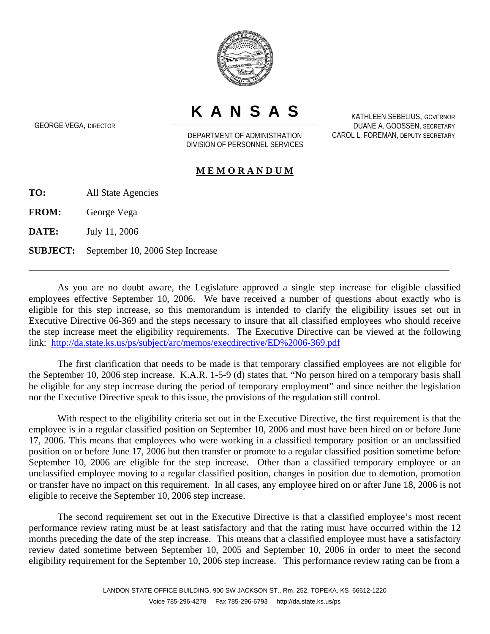

**KANSAS**

GEORGE VEGA, DIRECTOR

DEPARTMENT OF ADMINISTRATION DIVISION OF PERSONNEL SERVICES

KATHLEEN SEBELIUS, GOVERNOR DUANE A. GOOSSEN, SECRETARY CAROL L. FOREMAN, DEPUTY SECRETARY

## **M E M O R A N D U M**

**TO:** All State Agencies

**FROM:** George Vega

**DATE:** July 11, 2006

 $\overline{a}$ 

**SUBJECT:** September 10, 2006 Step Increase

As you are no doubt aware, the Legislature approved a single step increase for eligible classified employees effective September 10, 2006. We have received a number of questions about exactly who is eligible for this step increase, so this memorandum is intended to clarify the eligibility issues set out in Executive Directive 06-369 and the steps necessary to insure that all classified employees who should receive the step increase meet the eligibility requirements. The Executive Directive can be viewed at the following link: http://da.state.ks.us/ps/subject/arc/memos/execdirective/ED%2006-369.pdf

The first clarification that needs to be made is that temporary classified employees are not eligible for the September 10, 2006 step increase. K.A.R. 1-5-9 (d) states that, "No person hired on a temporary basis shall be eligible for any step increase during the period of temporary employment" and since neither the legislation nor the Executive Directive speak to this issue, the provisions of the regulation still control.

With respect to the eligibility criteria set out in the Executive Directive, the first requirement is that the employee is in a regular classified position on September 10, 2006 and must have been hired on or before June 17, 2006. This means that employees who were working in a classified temporary position or an unclassified position on or before June 17, 2006 but then transfer or promote to a regular classified position sometime before September 10, 2006 are eligible for the step increase. Other than a classified temporary employee or an unclassified employee moving to a regular classified position, changes in position due to demotion, promotion or transfer have no impact on this requirement. In all cases, any employee hired on or after June 18, 2006 is not eligible to receive the September 10, 2006 step increase.

The second requirement set out in the Executive Directive is that a classified employee's most recent performance review rating must be at least satisfactory and that the rating must have occurred within the 12 months preceding the date of the step increase. This means that a classified employee must have a satisfactory review dated sometime between September 10, 2005 and September 10, 2006 in order to meet the second eligibility requirement for the September 10, 2006 step increase. This performance review rating can be from a